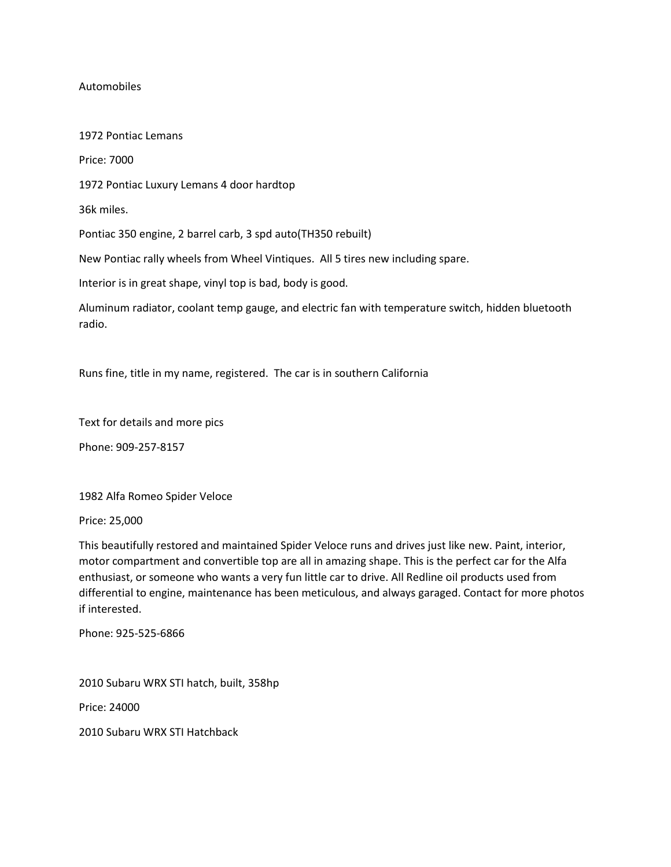# Automobiles

1972 Pontiac Lemans Price: 7000 1972 Pontiac Luxury Lemans 4 door hardtop 36k miles. Pontiac 350 engine, 2 barrel carb, 3 spd auto(TH350 rebuilt) New Pontiac rally wheels from Wheel Vintiques. All 5 tires new including spare. Interior is in great shape, vinyl top is bad, body is good.

Aluminum radiator, coolant temp gauge, and electric fan with temperature switch, hidden bluetooth radio.

Runs fine, title in my name, registered. The car is in southern California

Text for details and more pics

Phone: 909-257-8157

1982 Alfa Romeo Spider Veloce

Price: 25,000

This beautifully restored and maintained Spider Veloce runs and drives just like new. Paint, interior, motor compartment and convertible top are all in amazing shape. This is the perfect car for the Alfa enthusiast, or someone who wants a very fun little car to drive. All Redline oil products used from differential to engine, maintenance has been meticulous, and always garaged. Contact for more photos if interested.

Phone: 925-525-6866

2010 Subaru WRX STI hatch, built, 358hp

Price: 24000

2010 Subaru WRX STI Hatchback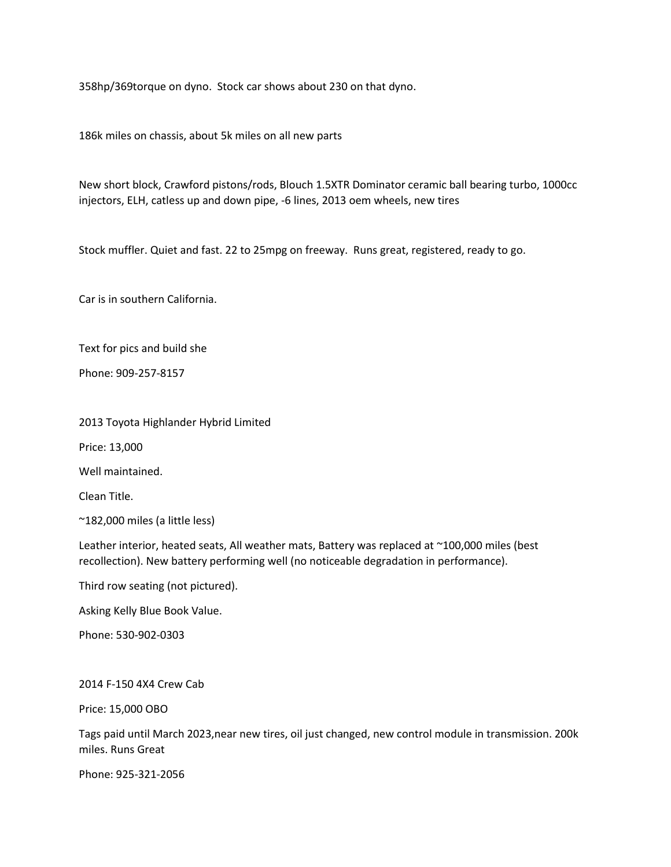358hp/369torque on dyno. Stock car shows about 230 on that dyno.

186k miles on chassis, about 5k miles on all new parts

New short block, Crawford pistons/rods, Blouch 1.5XTR Dominator ceramic ball bearing turbo, 1000cc injectors, ELH, catless up and down pipe, -6 lines, 2013 oem wheels, new tires

Stock muffler. Quiet and fast. 22 to 25mpg on freeway. Runs great, registered, ready to go.

Car is in southern California.

Text for pics and build she

Phone: 909-257-8157

2013 Toyota Highlander Hybrid Limited

Price: 13,000

Well maintained.

Clean Title.

~182,000 miles (a little less)

Leather interior, heated seats, All weather mats, Battery was replaced at ~100,000 miles (best recollection). New battery performing well (no noticeable degradation in performance).

Third row seating (not pictured).

Asking Kelly Blue Book Value.

Phone: 530-902-0303

2014 F-150 4X4 Crew Cab

Price: 15,000 OBO

Tags paid until March 2023,near new tires, oil just changed, new control module in transmission. 200k miles. Runs Great

Phone: 925-321-2056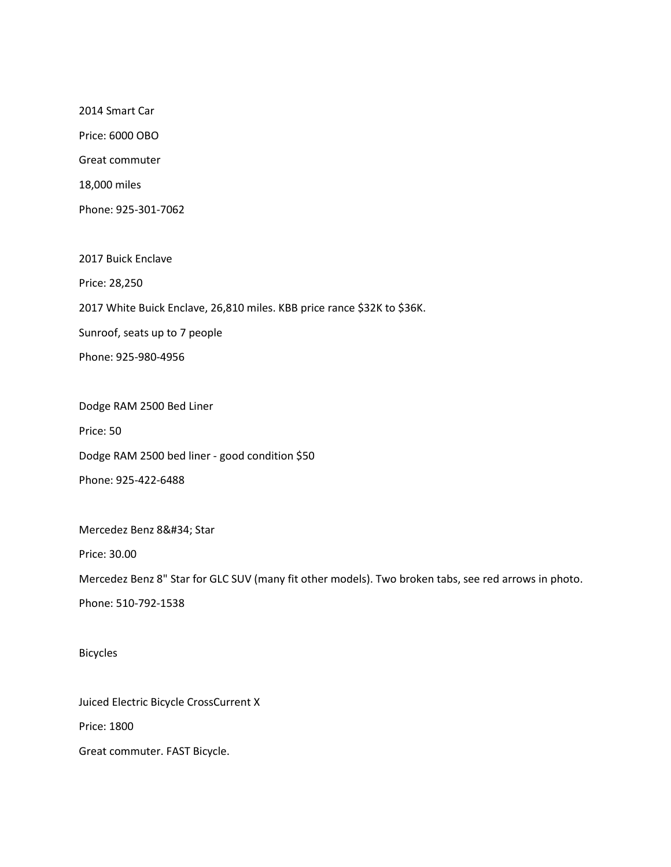2014 Smart Car Price: 6000 OBO Great commuter 18,000 miles Phone: 925-301-7062

2017 Buick Enclave Price: 28,250 2017 White Buick Enclave, 26,810 miles. KBB price rance \$32K to \$36K. Sunroof, seats up to 7 people Phone: 925-980-4956

Dodge RAM 2500 Bed Liner Price: 50 Dodge RAM 2500 bed liner - good condition \$50 Phone: 925-422-6488

Mercedez Benz 8" Star

Price: 30.00

Mercedez Benz 8" Star for GLC SUV (many fit other models). Two broken tabs, see red arrows in photo.

Phone: 510-792-1538

Bicycles

Juiced Electric Bicycle CrossCurrent X

Price: 1800

Great commuter. FAST Bicycle.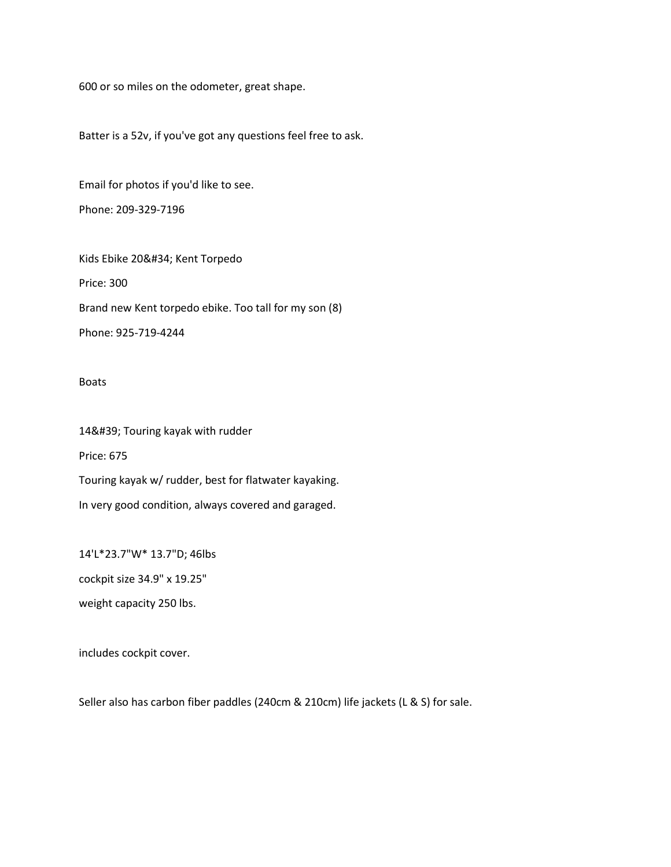600 or so miles on the odometer, great shape.

Batter is a 52v, if you've got any questions feel free to ask.

Email for photos if you'd like to see. Phone: 209-329-7196

Kids Ebike 20" Kent Torpedo Price: 300 Brand new Kent torpedo ebike. Too tall for my son (8) Phone: 925-719-4244

#### Boats

14' Touring kayak with rudder Price: 675 Touring kayak w/ rudder, best for flatwater kayaking. In very good condition, always covered and garaged.

14'L\*23.7"W\* 13.7"D; 46lbs cockpit size 34.9" x 19.25" weight capacity 250 lbs.

includes cockpit cover.

Seller also has carbon fiber paddles (240cm & 210cm) life jackets (L & S) for sale.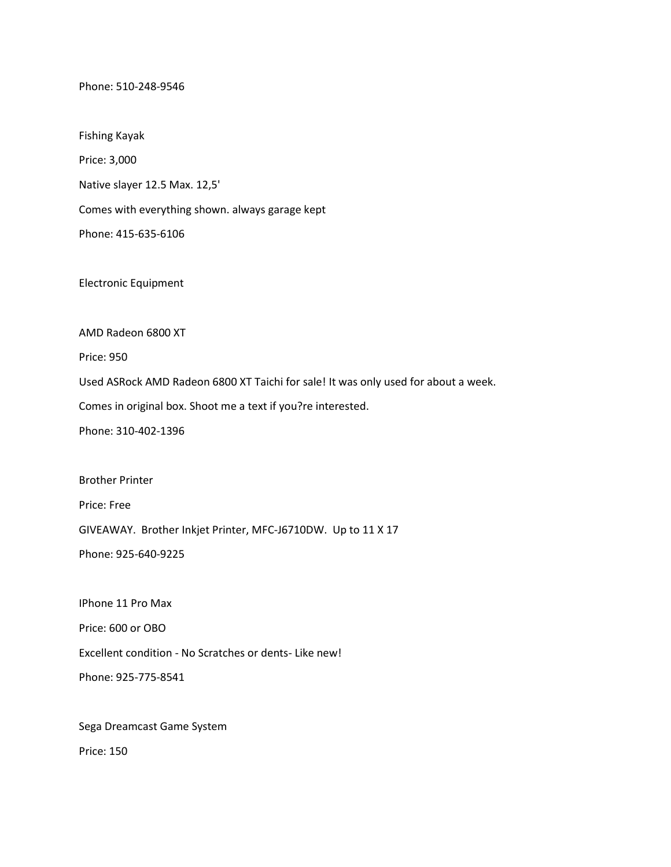Phone: 510-248-9546

Fishing Kayak

Price: 3,000

Native slayer 12.5 Max. 12,5'

Comes with everything shown. always garage kept

Phone: 415-635-6106

Electronic Equipment

AMD Radeon 6800 XT

Price: 950

Used ASRock AMD Radeon 6800 XT Taichi for sale! It was only used for about a week.

Comes in original box. Shoot me a text if you?re interested.

Phone: 310-402-1396

Brother Printer

Price: Free

GIVEAWAY. Brother Inkjet Printer, MFC-J6710DW. Up to 11 X 17

Phone: 925-640-9225

IPhone 11 Pro Max

Price: 600 or OBO

Excellent condition - No Scratches or dents- Like new!

Phone: 925-775-8541

Sega Dreamcast Game System

Price: 150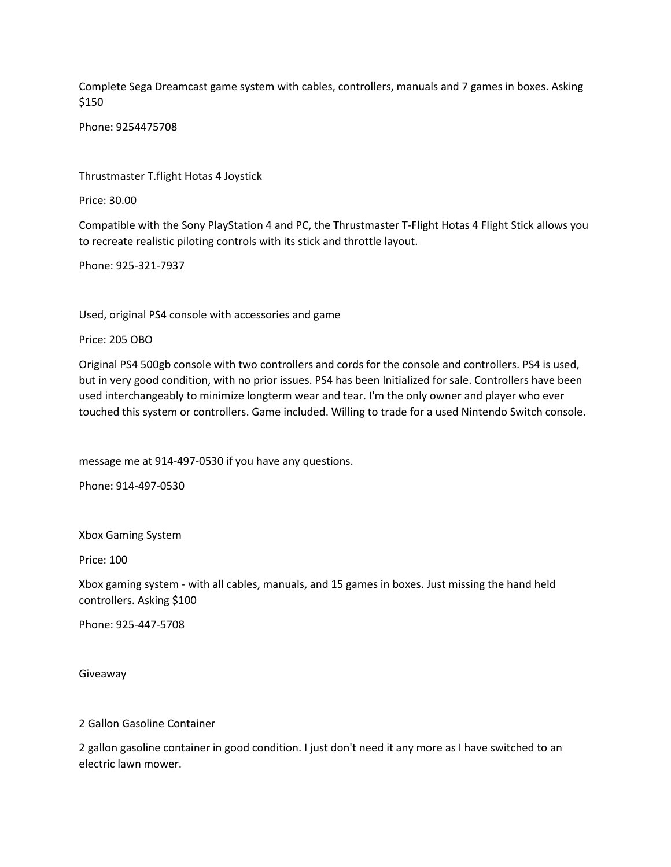Complete Sega Dreamcast game system with cables, controllers, manuals and 7 games in boxes. Asking \$150

Phone: 9254475708

Thrustmaster T.flight Hotas 4 Joystick

Price: 30.00

Compatible with the Sony PlayStation 4 and PC, the Thrustmaster T-Flight Hotas 4 Flight Stick allows you to recreate realistic piloting controls with its stick and throttle layout.

Phone: 925-321-7937

Used, original PS4 console with accessories and game

Price: 205 OBO

Original PS4 500gb console with two controllers and cords for the console and controllers. PS4 is used, but in very good condition, with no prior issues. PS4 has been Initialized for sale. Controllers have been used interchangeably to minimize longterm wear and tear. I'm the only owner and player who ever touched this system or controllers. Game included. Willing to trade for a used Nintendo Switch console.

message me at 914-497-0530 if you have any questions.

Phone: 914-497-0530

Xbox Gaming System

Price: 100

Xbox gaming system - with all cables, manuals, and 15 games in boxes. Just missing the hand held controllers. Asking \$100

Phone: 925-447-5708

Giveaway

2 Gallon Gasoline Container

2 gallon gasoline container in good condition. I just don't need it any more as I have switched to an electric lawn mower.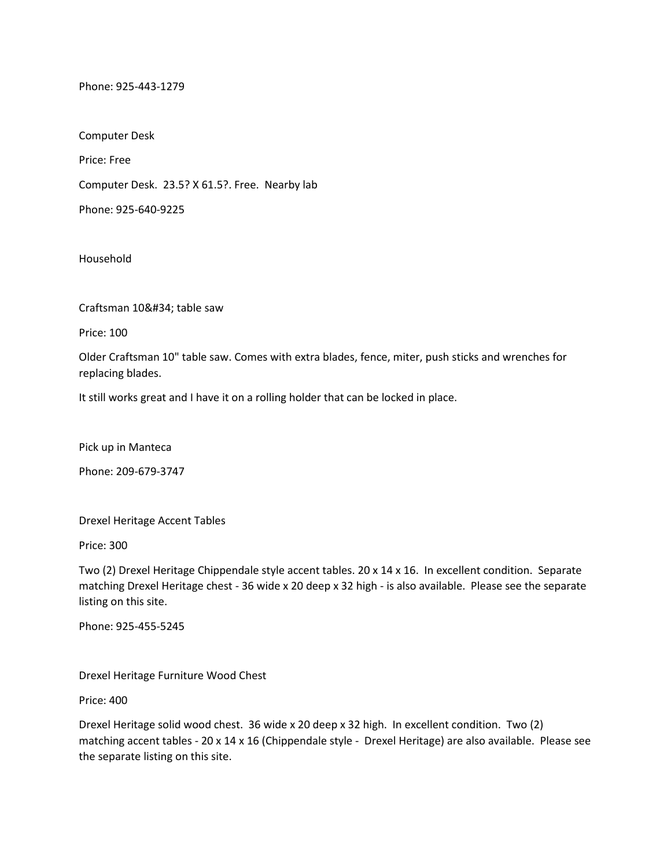Phone: 925-443-1279

Computer Desk Price: Free Computer Desk. 23.5? X 61.5?. Free. Nearby lab

Phone: 925-640-9225

Household

Craftsman 10" table saw

Price: 100

Older Craftsman 10" table saw. Comes with extra blades, fence, miter, push sticks and wrenches for replacing blades.

It still works great and I have it on a rolling holder that can be locked in place.

Pick up in Manteca

Phone: 209-679-3747

Drexel Heritage Accent Tables

Price: 300

Two (2) Drexel Heritage Chippendale style accent tables. 20 x 14 x 16. In excellent condition. Separate matching Drexel Heritage chest - 36 wide x 20 deep x 32 high - is also available. Please see the separate listing on this site.

Phone: 925-455-5245

Drexel Heritage Furniture Wood Chest

Price: 400

Drexel Heritage solid wood chest. 36 wide x 20 deep x 32 high. In excellent condition. Two (2) matching accent tables - 20 x 14 x 16 (Chippendale style - Drexel Heritage) are also available. Please see the separate listing on this site.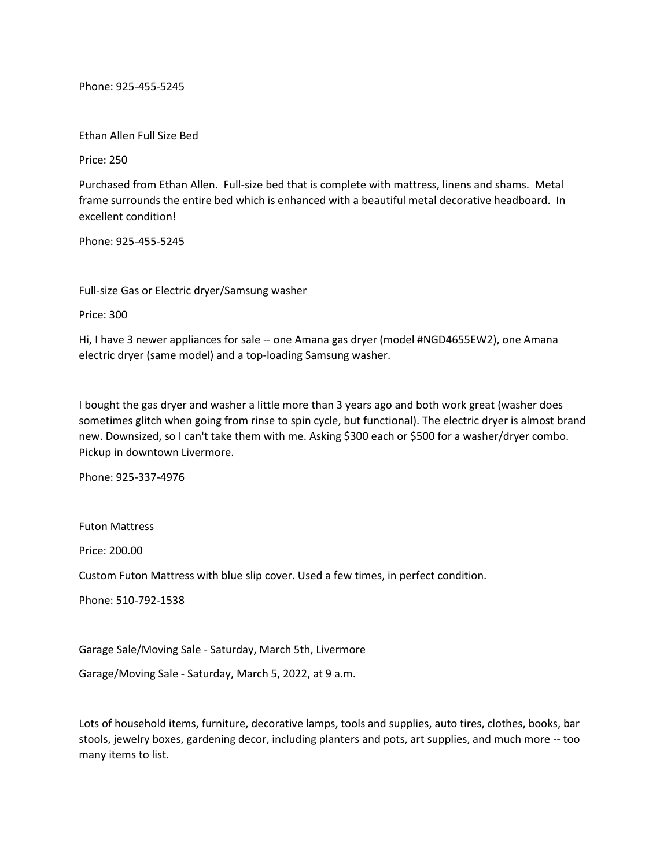Phone: 925-455-5245

Ethan Allen Full Size Bed

Price: 250

Purchased from Ethan Allen. Full-size bed that is complete with mattress, linens and shams. Metal frame surrounds the entire bed which is enhanced with a beautiful metal decorative headboard. In excellent condition!

Phone: 925-455-5245

Full-size Gas or Electric dryer/Samsung washer

Price: 300

Hi, I have 3 newer appliances for sale -- one Amana gas dryer (model #NGD4655EW2), one Amana electric dryer (same model) and a top-loading Samsung washer.

I bought the gas dryer and washer a little more than 3 years ago and both work great (washer does sometimes glitch when going from rinse to spin cycle, but functional). The electric dryer is almost brand new. Downsized, so I can't take them with me. Asking \$300 each or \$500 for a washer/dryer combo. Pickup in downtown Livermore.

Phone: 925-337-4976

Futon Mattress

Price: 200.00

Custom Futon Mattress with blue slip cover. Used a few times, in perfect condition.

Phone: 510-792-1538

Garage Sale/Moving Sale - Saturday, March 5th, Livermore

Garage/Moving Sale - Saturday, March 5, 2022, at 9 a.m.

Lots of household items, furniture, decorative lamps, tools and supplies, auto tires, clothes, books, bar stools, jewelry boxes, gardening decor, including planters and pots, art supplies, and much more -- too many items to list.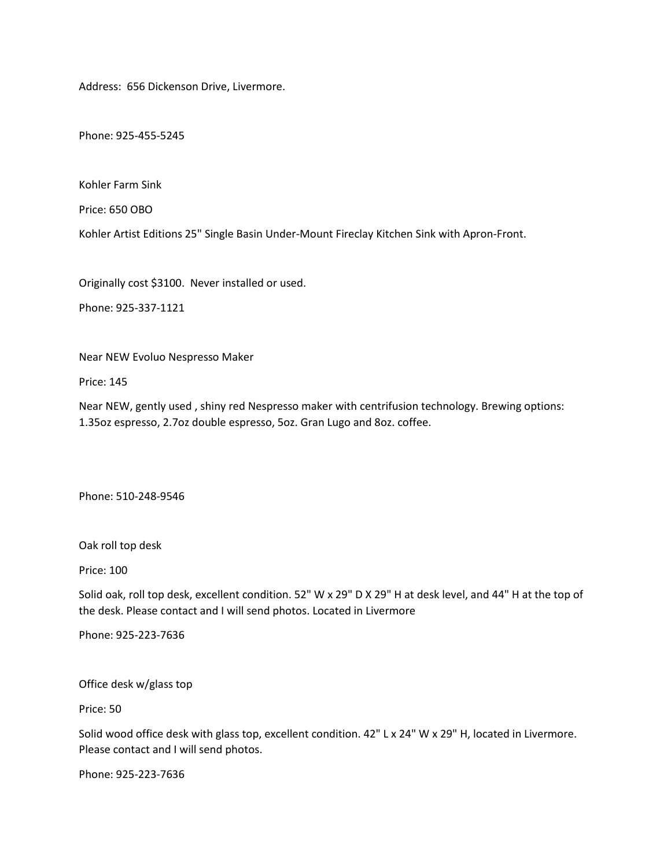Address: 656 Dickenson Drive, Livermore.

Phone: 925-455-5245

Kohler Farm Sink

Price: 650 OBO

Kohler Artist Editions 25" Single Basin Under-Mount Fireclay Kitchen Sink with Apron-Front.

Originally cost \$3100. Never installed or used.

Phone: 925-337-1121

Near NEW Evoluo Nespresso Maker

Price: 145

Near NEW, gently used , shiny red Nespresso maker with centrifusion technology. Brewing options: 1.35oz espresso, 2.7oz double espresso, 5oz. Gran Lugo and 8oz. coffee.

Phone: 510-248-9546

Oak roll top desk

Price: 100

Solid oak, roll top desk, excellent condition. 52" W x 29" D X 29" H at desk level, and 44" H at the top of the desk. Please contact and I will send photos. Located in Livermore

Phone: 925-223-7636

Office desk w/glass top

Price: 50

Solid wood office desk with glass top, excellent condition. 42" L x 24" W x 29" H, located in Livermore. Please contact and I will send photos.

Phone: 925-223-7636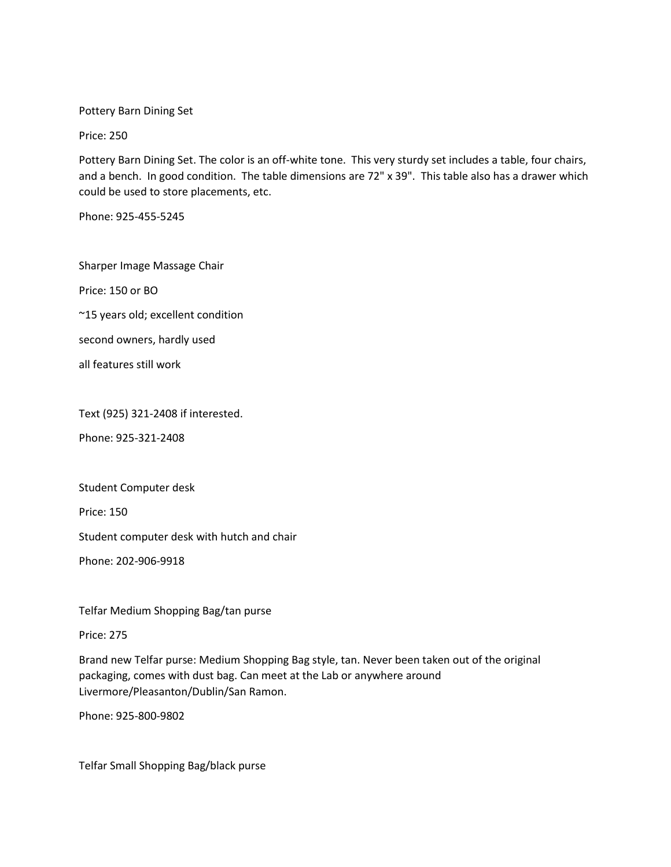Pottery Barn Dining Set

Price: 250

Pottery Barn Dining Set. The color is an off-white tone. This very sturdy set includes a table, four chairs, and a bench. In good condition. The table dimensions are 72" x 39". This table also has a drawer which could be used to store placements, etc.

Phone: 925-455-5245

Sharper Image Massage Chair Price: 150 or BO ~15 years old; excellent condition second owners, hardly used

all features still work

Text (925) 321-2408 if interested.

Phone: 925-321-2408

Student Computer desk

Price: 150

Student computer desk with hutch and chair

Phone: 202-906-9918

Telfar Medium Shopping Bag/tan purse

Price: 275

Brand new Telfar purse: Medium Shopping Bag style, tan. Never been taken out of the original packaging, comes with dust bag. Can meet at the Lab or anywhere around Livermore/Pleasanton/Dublin/San Ramon.

Phone: 925-800-9802

Telfar Small Shopping Bag/black purse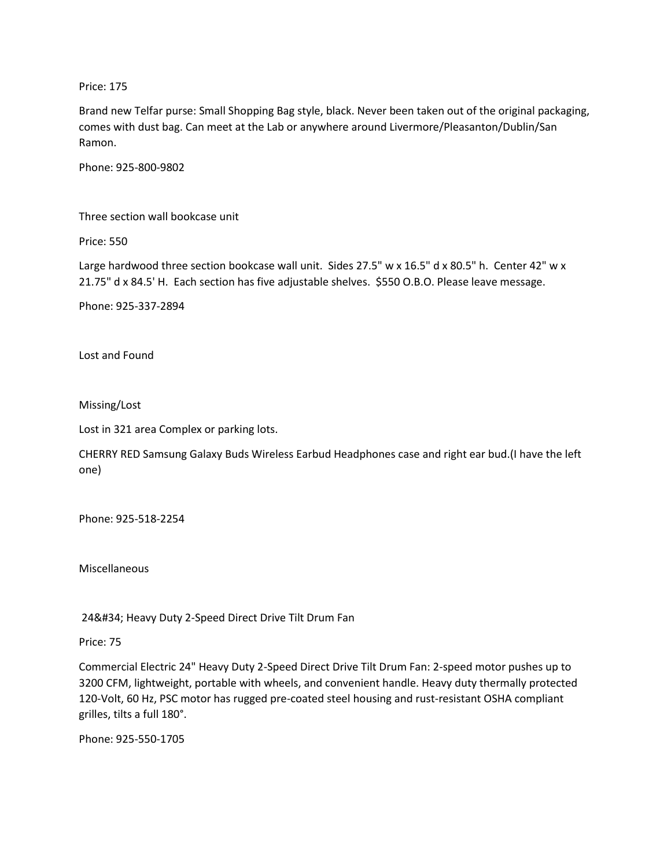Price: 175

Brand new Telfar purse: Small Shopping Bag style, black. Never been taken out of the original packaging, comes with dust bag. Can meet at the Lab or anywhere around Livermore/Pleasanton/Dublin/San Ramon.

Phone: 925-800-9802

Three section wall bookcase unit

Price: 550

Large hardwood three section bookcase wall unit. Sides 27.5" w x 16.5" d x 80.5" h. Center 42" w x 21.75" d x 84.5' H. Each section has five adjustable shelves. \$550 O.B.O. Please leave message.

Phone: 925-337-2894

Lost and Found

Missing/Lost

Lost in 321 area Complex or parking lots.

CHERRY RED Samsung Galaxy Buds Wireless Earbud Headphones case and right ear bud.(I have the left one)

Phone: 925-518-2254

Miscellaneous

24" Heavy Duty 2-Speed Direct Drive Tilt Drum Fan

Price: 75

Commercial Electric 24" Heavy Duty 2-Speed Direct Drive Tilt Drum Fan: 2-speed motor pushes up to 3200 CFM, lightweight, portable with wheels, and convenient handle. Heavy duty thermally protected 120-Volt, 60 Hz, PSC motor has rugged pre-coated steel housing and rust-resistant OSHA compliant grilles, tilts a full 180°.

Phone: 925-550-1705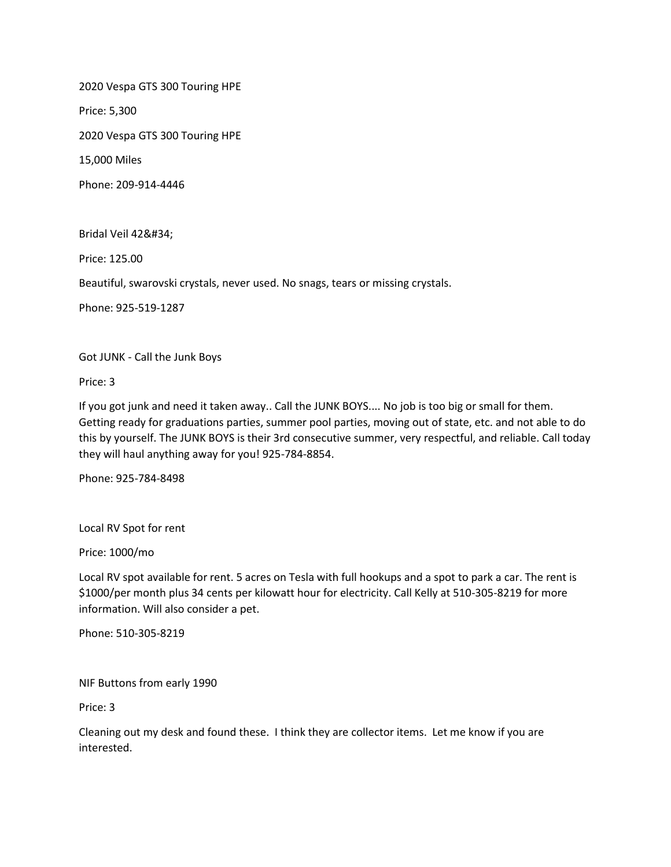2020 Vespa GTS 300 Touring HPE

Price: 5,300

2020 Vespa GTS 300 Touring HPE

15,000 Miles

Phone: 209-914-4446

Bridal Veil 42"

Price: 125.00

Beautiful, swarovski crystals, never used. No snags, tears or missing crystals.

Phone: 925-519-1287

Got JUNK - Call the Junk Boys

Price: 3

If you got junk and need it taken away.. Call the JUNK BOYS.... No job is too big or small for them. Getting ready for graduations parties, summer pool parties, moving out of state, etc. and not able to do this by yourself. The JUNK BOYS is their 3rd consecutive summer, very respectful, and reliable. Call today they will haul anything away for you! 925-784-8854.

Phone: 925-784-8498

Local RV Spot for rent

Price: 1000/mo

Local RV spot available for rent. 5 acres on Tesla with full hookups and a spot to park a car. The rent is \$1000/per month plus 34 cents per kilowatt hour for electricity. Call Kelly at 510-305-8219 for more information. Will also consider a pet.

Phone: 510-305-8219

NIF Buttons from early 1990

Price: 3

Cleaning out my desk and found these. I think they are collector items. Let me know if you are interested.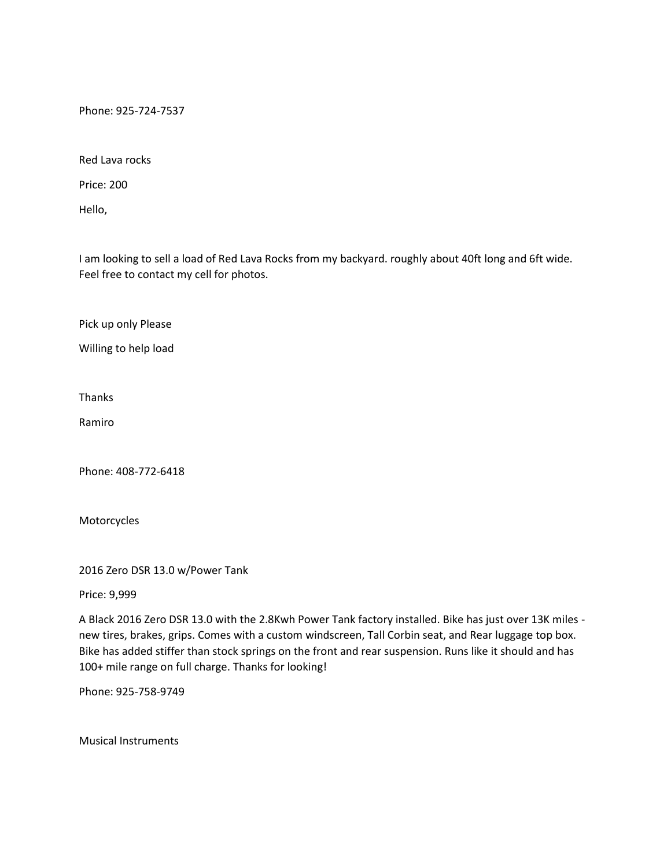Phone: 925-724-7537

Red Lava rocks

Price: 200

Hello,

I am looking to sell a load of Red Lava Rocks from my backyard. roughly about 40ft long and 6ft wide. Feel free to contact my cell for photos.

Pick up only Please

Willing to help load

Thanks

Ramiro

Phone: 408-772-6418

Motorcycles

2016 Zero DSR 13.0 w/Power Tank

Price: 9,999

A Black 2016 Zero DSR 13.0 with the 2.8Kwh Power Tank factory installed. Bike has just over 13K miles new tires, brakes, grips. Comes with a custom windscreen, Tall Corbin seat, and Rear luggage top box. Bike has added stiffer than stock springs on the front and rear suspension. Runs like it should and has 100+ mile range on full charge. Thanks for looking!

Phone: 925-758-9749

Musical Instruments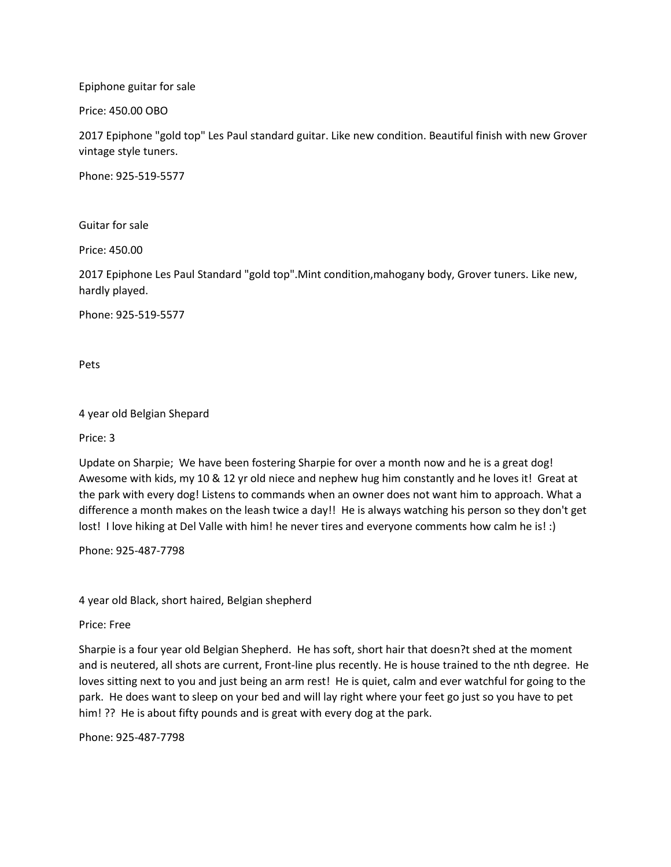Epiphone guitar for sale

Price: 450.00 OBO

2017 Epiphone "gold top" Les Paul standard guitar. Like new condition. Beautiful finish with new Grover vintage style tuners.

Phone: 925-519-5577

Guitar for sale

Price: 450.00

2017 Epiphone Les Paul Standard "gold top".Mint condition,mahogany body, Grover tuners. Like new, hardly played.

Phone: 925-519-5577

Pets

4 year old Belgian Shepard

Price: 3

Update on Sharpie; We have been fostering Sharpie for over a month now and he is a great dog! Awesome with kids, my 10 & 12 yr old niece and nephew hug him constantly and he loves it! Great at the park with every dog! Listens to commands when an owner does not want him to approach. What a difference a month makes on the leash twice a day!! He is always watching his person so they don't get lost! I love hiking at Del Valle with him! he never tires and everyone comments how calm he is! :)

Phone: 925-487-7798

4 year old Black, short haired, Belgian shepherd

Price: Free

Sharpie is a four year old Belgian Shepherd. He has soft, short hair that doesn?t shed at the moment and is neutered, all shots are current, Front-line plus recently. He is house trained to the nth degree. He loves sitting next to you and just being an arm rest! He is quiet, calm and ever watchful for going to the park. He does want to sleep on your bed and will lay right where your feet go just so you have to pet him! ?? He is about fifty pounds and is great with every dog at the park.

Phone: 925-487-7798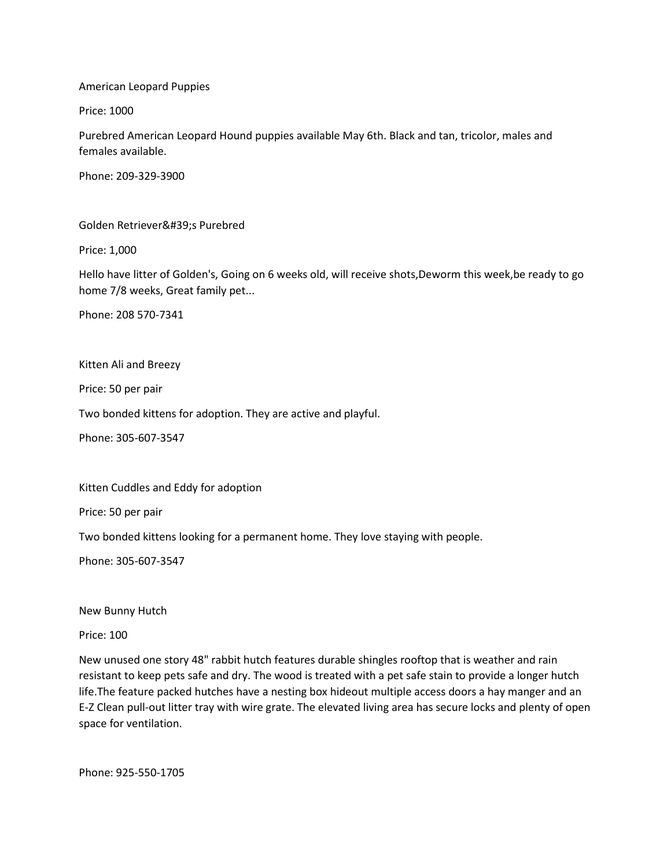American Leopard Puppies

Price: 1000

Purebred American Leopard Hound puppies available May 6th. Black and tan, tricolor, males and females available.

Phone: 209-329-3900

Golden Retriever's Purebred

Price: 1,000

Hello have litter of Golden's, Going on 6 weeks old, will receive shots,Deworm this week,be ready to go home 7/8 weeks, Great family pet...

Phone: 208 570-7341

Kitten Ali and Breezy

Price: 50 per pair

Two bonded kittens for adoption. They are active and playful.

Phone: 305-607-3547

Kitten Cuddles and Eddy for adoption

Price: 50 per pair

Two bonded kittens looking for a permanent home. They love staying with people.

Phone: 305-607-3547

New Bunny Hutch

Price: 100

New unused one story 48" rabbit hutch features durable shingles rooftop that is weather and rain resistant to keep pets safe and dry. The wood is treated with a pet safe stain to provide a longer hutch life.The feature packed hutches have a nesting box hideout multiple access doors a hay manger and an E-Z Clean pull-out litter tray with wire grate. The elevated living area has secure locks and plenty of open space for ventilation.

Phone: 925-550-1705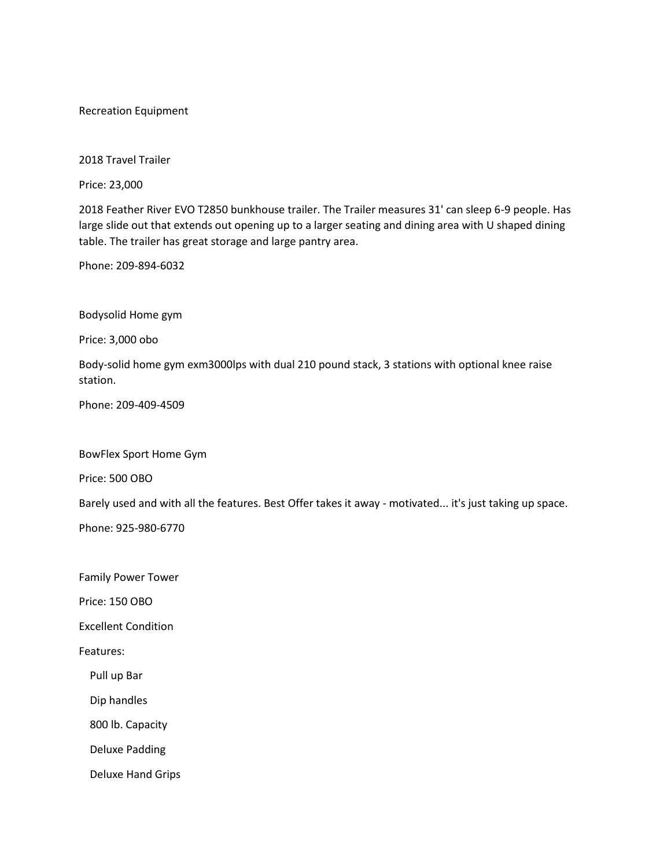# Recreation Equipment

2018 Travel Trailer

Price: 23,000

2018 Feather River EVO T2850 bunkhouse trailer. The Trailer measures 31' can sleep 6-9 people. Has large slide out that extends out opening up to a larger seating and dining area with U shaped dining table. The trailer has great storage and large pantry area.

Phone: 209-894-6032

Bodysolid Home gym

Price: 3,000 obo

Body-solid home gym exm3000lps with dual 210 pound stack, 3 stations with optional knee raise station.

Phone: 209-409-4509

BowFlex Sport Home Gym

Price: 500 OBO

Barely used and with all the features. Best Offer takes it away - motivated... it's just taking up space.

Phone: 925-980-6770

Family Power Tower

Price: 150 OBO

Excellent Condition

Features:

Pull up Bar

Dip handles

800 lb. Capacity

Deluxe Padding

Deluxe Hand Grips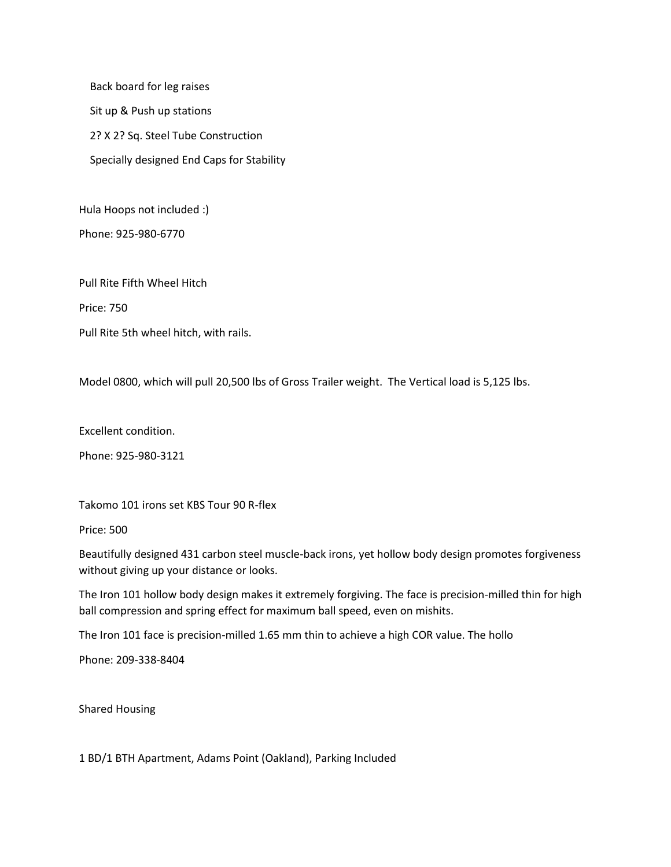Back board for leg raises Sit up & Push up stations 2? X 2? Sq. Steel Tube Construction Specially designed End Caps for Stability

Hula Hoops not included :)

Phone: 925-980-6770

Pull Rite Fifth Wheel Hitch

Price: 750

Pull Rite 5th wheel hitch, with rails.

Model 0800, which will pull 20,500 lbs of Gross Trailer weight. The Vertical load is 5,125 lbs.

Excellent condition.

Phone: 925-980-3121

Takomo 101 irons set KBS Tour 90 R-flex

Price: 500

Beautifully designed 431 carbon steel muscle-back irons, yet hollow body design promotes forgiveness without giving up your distance or looks.

The Iron 101 hollow body design makes it extremely forgiving. The face is precision-milled thin for high ball compression and spring effect for maximum ball speed, even on mishits.

The Iron 101 face is precision-milled 1.65 mm thin to achieve a high COR value. The hollo

Phone: 209-338-8404

Shared Housing

1 BD/1 BTH Apartment, Adams Point (Oakland), Parking Included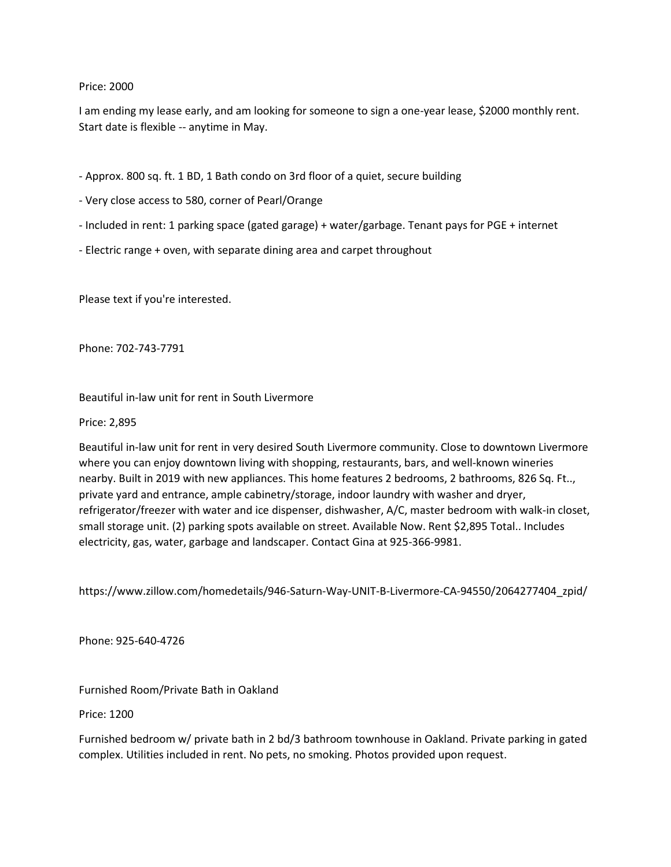# Price: 2000

I am ending my lease early, and am looking for someone to sign a one-year lease, \$2000 monthly rent. Start date is flexible -- anytime in May.

- Approx. 800 sq. ft. 1 BD, 1 Bath condo on 3rd floor of a quiet, secure building
- Very close access to 580, corner of Pearl/Orange
- Included in rent: 1 parking space (gated garage) + water/garbage. Tenant pays for PGE + internet
- Electric range + oven, with separate dining area and carpet throughout

Please text if you're interested.

Phone: 702-743-7791

Beautiful in-law unit for rent in South Livermore

### Price: 2,895

Beautiful in-law unit for rent in very desired South Livermore community. Close to downtown Livermore where you can enjoy downtown living with shopping, restaurants, bars, and well-known wineries nearby. Built in 2019 with new appliances. This home features 2 bedrooms, 2 bathrooms, 826 Sq. Ft.., private yard and entrance, ample cabinetry/storage, indoor laundry with washer and dryer, refrigerator/freezer with water and ice dispenser, dishwasher, A/C, master bedroom with walk-in closet, small storage unit. (2) parking spots available on street. Available Now. Rent \$2,895 Total.. Includes electricity, gas, water, garbage and landscaper. Contact Gina at 925-366-9981.

https://www.zillow.com/homedetails/946-Saturn-Way-UNIT-B-Livermore-CA-94550/2064277404\_zpid/

Phone: 925-640-4726

Furnished Room/Private Bath in Oakland

Price: 1200

Furnished bedroom w/ private bath in 2 bd/3 bathroom townhouse in Oakland. Private parking in gated complex. Utilities included in rent. No pets, no smoking. Photos provided upon request.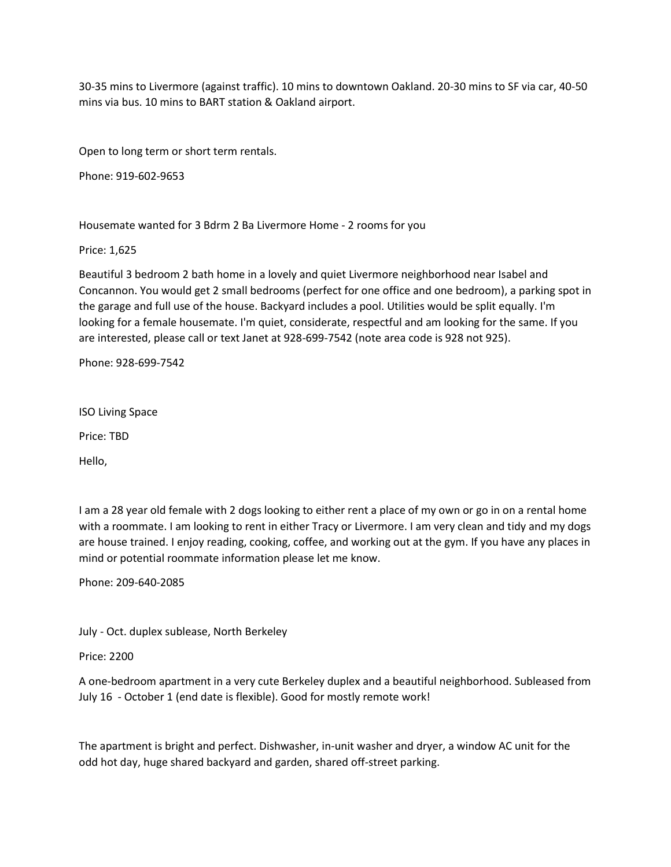30-35 mins to Livermore (against traffic). 10 mins to downtown Oakland. 20-30 mins to SF via car, 40-50 mins via bus. 10 mins to BART station & Oakland airport.

Open to long term or short term rentals.

Phone: 919-602-9653

Housemate wanted for 3 Bdrm 2 Ba Livermore Home - 2 rooms for you

Price: 1,625

Beautiful 3 bedroom 2 bath home in a lovely and quiet Livermore neighborhood near Isabel and Concannon. You would get 2 small bedrooms (perfect for one office and one bedroom), a parking spot in the garage and full use of the house. Backyard includes a pool. Utilities would be split equally. I'm looking for a female housemate. I'm quiet, considerate, respectful and am looking for the same. If you are interested, please call or text Janet at 928-699-7542 (note area code is 928 not 925).

Phone: 928-699-7542

ISO Living Space

Price: TBD

Hello,

I am a 28 year old female with 2 dogs looking to either rent a place of my own or go in on a rental home with a roommate. I am looking to rent in either Tracy or Livermore. I am very clean and tidy and my dogs are house trained. I enjoy reading, cooking, coffee, and working out at the gym. If you have any places in mind or potential roommate information please let me know.

Phone: 209-640-2085

July - Oct. duplex sublease, North Berkeley

Price: 2200

A one-bedroom apartment in a very cute Berkeley duplex and a beautiful neighborhood. Subleased from July 16 - October 1 (end date is flexible). Good for mostly remote work!

The apartment is bright and perfect. Dishwasher, in-unit washer and dryer, a window AC unit for the odd hot day, huge shared backyard and garden, shared off-street parking.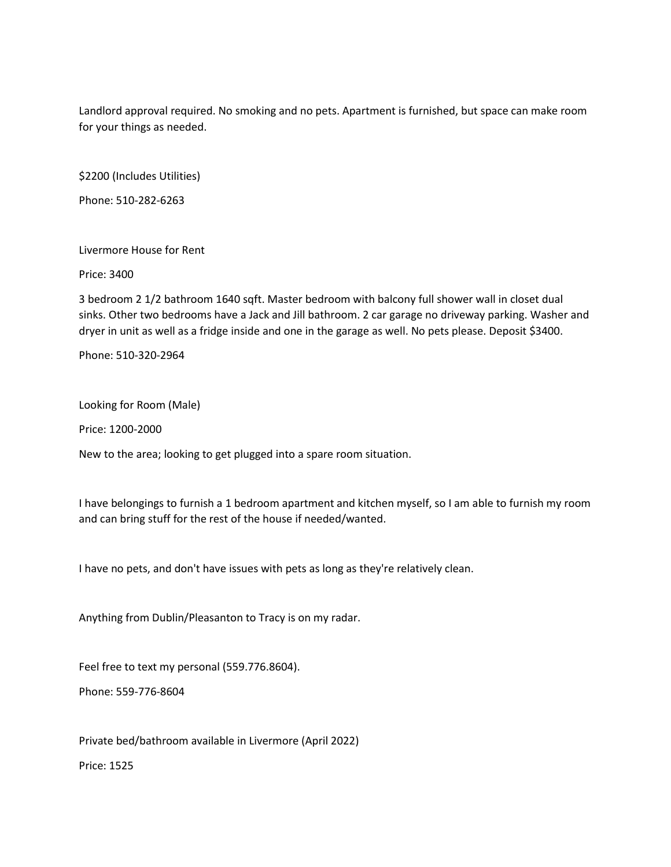Landlord approval required. No smoking and no pets. Apartment is furnished, but space can make room for your things as needed.

\$2200 (Includes Utilities)

Phone: 510-282-6263

Livermore House for Rent

Price: 3400

3 bedroom 2 1/2 bathroom 1640 sqft. Master bedroom with balcony full shower wall in closet dual sinks. Other two bedrooms have a Jack and Jill bathroom. 2 car garage no driveway parking. Washer and dryer in unit as well as a fridge inside and one in the garage as well. No pets please. Deposit \$3400.

Phone: 510-320-2964

Looking for Room (Male)

Price: 1200-2000

New to the area; looking to get plugged into a spare room situation.

I have belongings to furnish a 1 bedroom apartment and kitchen myself, so I am able to furnish my room and can bring stuff for the rest of the house if needed/wanted.

I have no pets, and don't have issues with pets as long as they're relatively clean.

Anything from Dublin/Pleasanton to Tracy is on my radar.

Feel free to text my personal (559.776.8604).

Phone: 559-776-8604

Private bed/bathroom available in Livermore (April 2022)

Price: 1525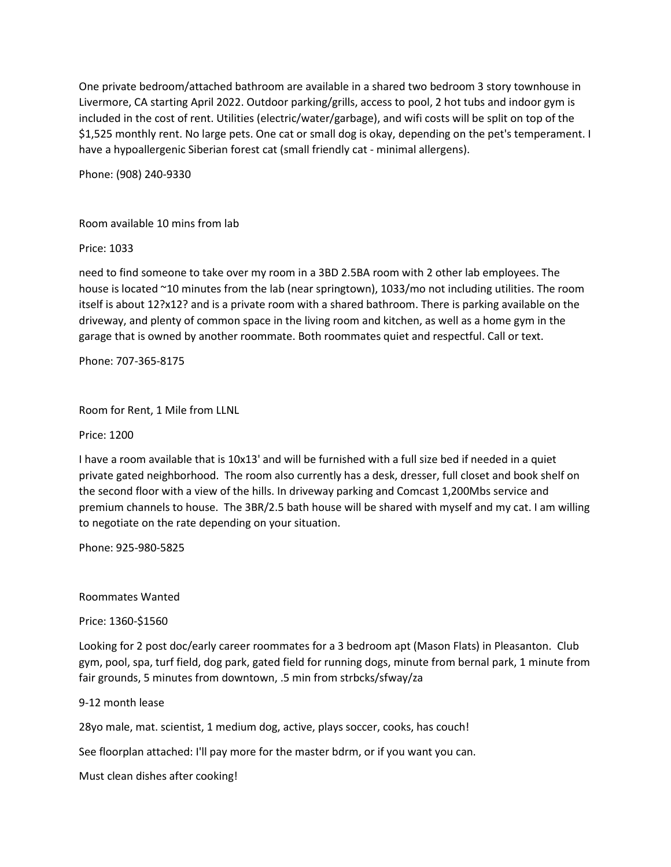One private bedroom/attached bathroom are available in a shared two bedroom 3 story townhouse in Livermore, CA starting April 2022. Outdoor parking/grills, access to pool, 2 hot tubs and indoor gym is included in the cost of rent. Utilities (electric/water/garbage), and wifi costs will be split on top of the \$1,525 monthly rent. No large pets. One cat or small dog is okay, depending on the pet's temperament. I have a hypoallergenic Siberian forest cat (small friendly cat - minimal allergens).

Phone: (908) 240-9330

Room available 10 mins from lab

Price: 1033

need to find someone to take over my room in a 3BD 2.5BA room with 2 other lab employees. The house is located ~10 minutes from the lab (near springtown), 1033/mo not including utilities. The room itself is about 12?x12? and is a private room with a shared bathroom. There is parking available on the driveway, and plenty of common space in the living room and kitchen, as well as a home gym in the garage that is owned by another roommate. Both roommates quiet and respectful. Call or text.

Phone: 707-365-8175

Room for Rent, 1 Mile from LLNL

Price: 1200

I have a room available that is 10x13' and will be furnished with a full size bed if needed in a quiet private gated neighborhood. The room also currently has a desk, dresser, full closet and book shelf on the second floor with a view of the hills. In driveway parking and Comcast 1,200Mbs service and premium channels to house. The 3BR/2.5 bath house will be shared with myself and my cat. I am willing to negotiate on the rate depending on your situation.

Phone: 925-980-5825

Roommates Wanted

Price: 1360-\$1560

Looking for 2 post doc/early career roommates for a 3 bedroom apt (Mason Flats) in Pleasanton. Club gym, pool, spa, turf field, dog park, gated field for running dogs, minute from bernal park, 1 minute from fair grounds, 5 minutes from downtown, .5 min from strbcks/sfway/za

9-12 month lease

28yo male, mat. scientist, 1 medium dog, active, plays soccer, cooks, has couch!

See floorplan attached: I'll pay more for the master bdrm, or if you want you can.

Must clean dishes after cooking!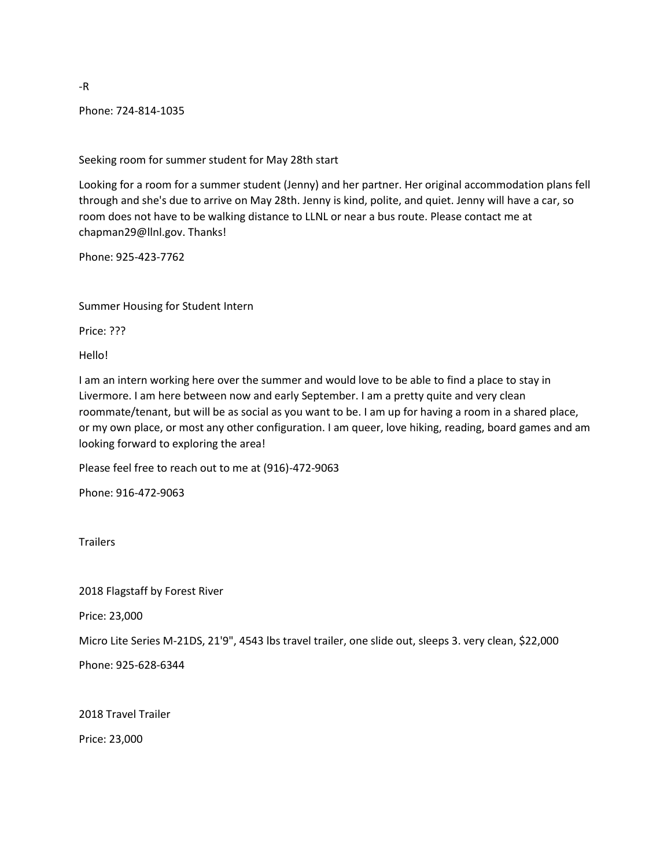Phone: 724-814-1035

Seeking room for summer student for May 28th start

Looking for a room for a summer student (Jenny) and her partner. Her original accommodation plans fell through and she's due to arrive on May 28th. Jenny is kind, polite, and quiet. Jenny will have a car, so room does not have to be walking distance to LLNL or near a bus route. Please contact me at chapman29@llnl.gov. Thanks!

Phone: 925-423-7762

Summer Housing for Student Intern

Price: ???

Hello!

I am an intern working here over the summer and would love to be able to find a place to stay in Livermore. I am here between now and early September. I am a pretty quite and very clean roommate/tenant, but will be as social as you want to be. I am up for having a room in a shared place, or my own place, or most any other configuration. I am queer, love hiking, reading, board games and am looking forward to exploring the area!

Please feel free to reach out to me at (916)-472-9063

Phone: 916-472-9063

**Trailers** 

2018 Flagstaff by Forest River

Price: 23,000

Micro Lite Series M-21DS, 21'9", 4543 lbs travel trailer, one slide out, sleeps 3. very clean, \$22,000

Phone: 925-628-6344

2018 Travel Trailer

Price: 23,000

-R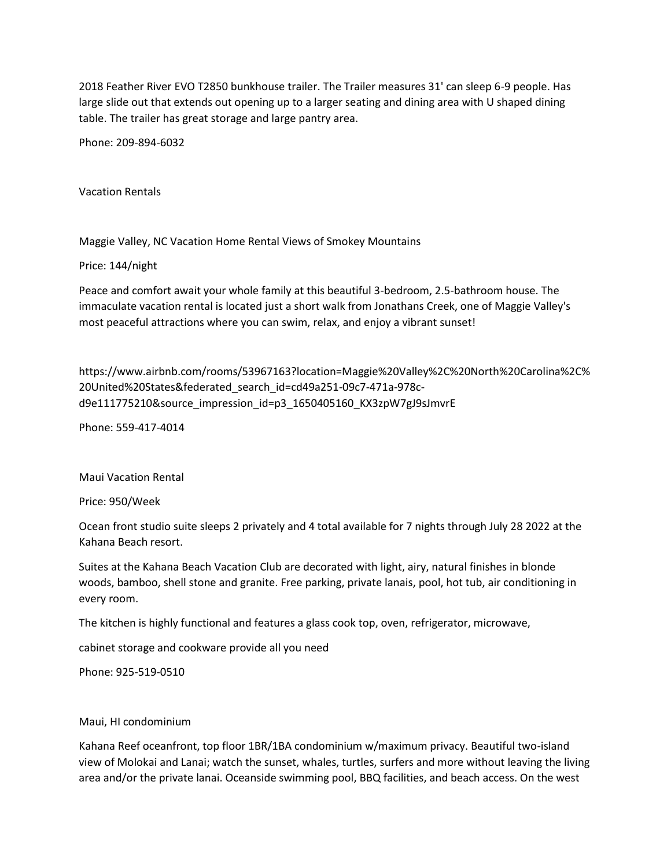2018 Feather River EVO T2850 bunkhouse trailer. The Trailer measures 31' can sleep 6-9 people. Has large slide out that extends out opening up to a larger seating and dining area with U shaped dining table. The trailer has great storage and large pantry area.

Phone: 209-894-6032

Vacation Rentals

Maggie Valley, NC Vacation Home Rental Views of Smokey Mountains

Price: 144/night

Peace and comfort await your whole family at this beautiful 3-bedroom, 2.5-bathroom house. The immaculate vacation rental is located just a short walk from Jonathans Creek, one of Maggie Valley's most peaceful attractions where you can swim, relax, and enjoy a vibrant sunset!

https://www.airbnb.com/rooms/53967163?location=Maggie%20Valley%2C%20North%20Carolina%2C% 20United%20States&federated\_search\_id=cd49a251-09c7-471a-978cd9e111775210&source\_impression\_id=p3\_1650405160\_KX3zpW7gJ9sJmvrE

Phone: 559-417-4014

Maui Vacation Rental

Price: 950/Week

Ocean front studio suite sleeps 2 privately and 4 total available for 7 nights through July 28 2022 at the Kahana Beach resort.

Suites at the Kahana Beach Vacation Club are decorated with light, airy, natural finishes in blonde woods, bamboo, shell stone and granite. Free parking, private lanais, pool, hot tub, air conditioning in every room.

The kitchen is highly functional and features a glass cook top, oven, refrigerator, microwave,

cabinet storage and cookware provide all you need

Phone: 925-519-0510

### Maui, HI condominium

Kahana Reef oceanfront, top floor 1BR/1BA condominium w/maximum privacy. Beautiful two-island view of Molokai and Lanai; watch the sunset, whales, turtles, surfers and more without leaving the living area and/or the private lanai. Oceanside swimming pool, BBQ facilities, and beach access. On the west